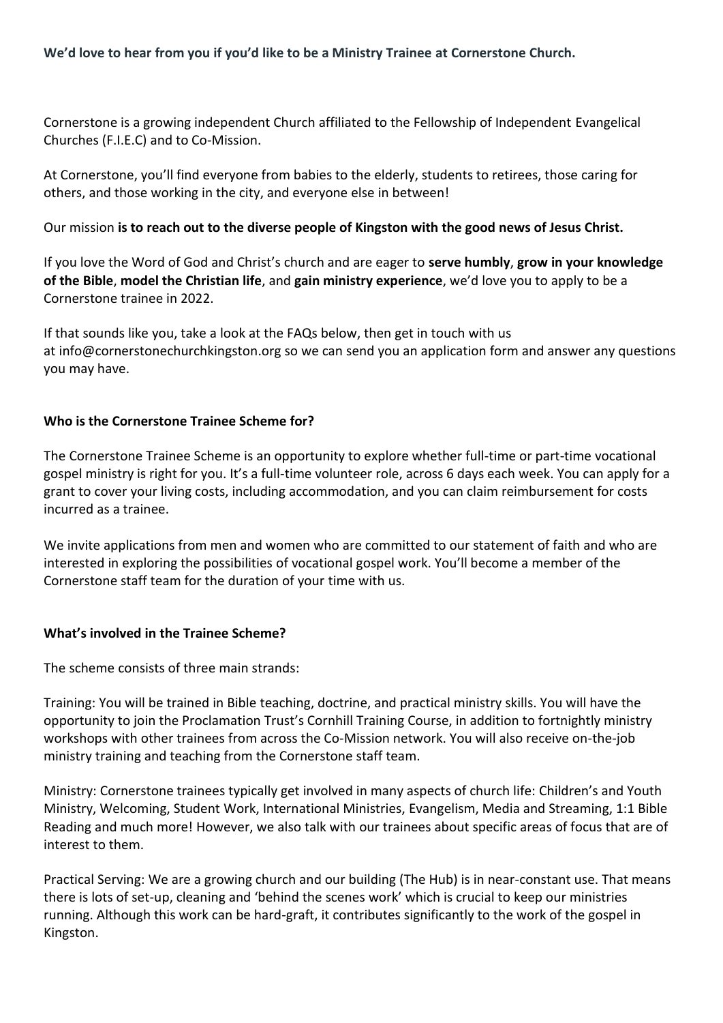Cornerstone is a growing independent Church affiliated to the Fellowship of Independent Evangelical Churches (F.I.E.C) and to Co-Mission.

At Cornerstone, you'll find everyone from babies to the elderly, students to retirees, those caring for others, and those working in the city, and everyone else in between!

Our mission **is to reach out to the diverse people of Kingston with the good news of Jesus Christ.**

If you love the Word of God and Christ's church and are eager to **serve humbly**, **grow in your knowledge of the Bible**, **model the Christian life**, and **gain ministry experience**, we'd love you to apply to be a Cornerstone trainee in 2022.

If that sounds like you, take a look at the FAQs below, then get in touch with us at info@cornerstonechurchkingston.org so we can send you an application form and answer any questions you may have.

# **Who is the Cornerstone Trainee Scheme for?**

The Cornerstone Trainee Scheme is an opportunity to explore whether full-time or part-time vocational gospel ministry is right for you. It's a full-time volunteer role, across 6 days each week. You can apply for a grant to cover your living costs, including accommodation, and you can claim reimbursement for costs incurred as a trainee.

We invite applications from men and women who are committed to our statement of faith and who are interested in exploring the possibilities of vocational gospel work. You'll become a member of the Cornerstone staff team for the duration of your time with us.

# **What's involved in the Trainee Scheme?**

The scheme consists of three main strands:

Training: You will be trained in Bible teaching, doctrine, and practical ministry skills. You will have the opportunity to join the Proclamation Trust's Cornhill Training Course, in addition to fortnightly ministry workshops with other trainees from across the Co-Mission network. You will also receive on-the-job ministry training and teaching from the Cornerstone staff team.

Ministry: Cornerstone trainees typically get involved in many aspects of church life: Children's and Youth Ministry, Welcoming, Student Work, International Ministries, Evangelism, Media and Streaming, 1:1 Bible Reading and much more! However, we also talk with our trainees about specific areas of focus that are of interest to them.

Practical Serving: We are a growing church and our building (The Hub) is in near-constant use. That means there is lots of set-up, cleaning and 'behind the scenes work' which is crucial to keep our ministries running. Although this work can be hard-graft, it contributes significantly to the work of the gospel in Kingston.